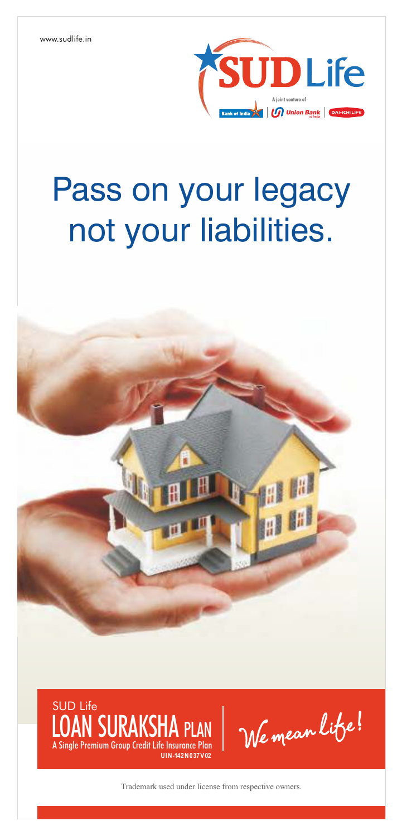

# Pass on your legacy not your liabilities.





We mean life!

Trademark used under license from respective owners.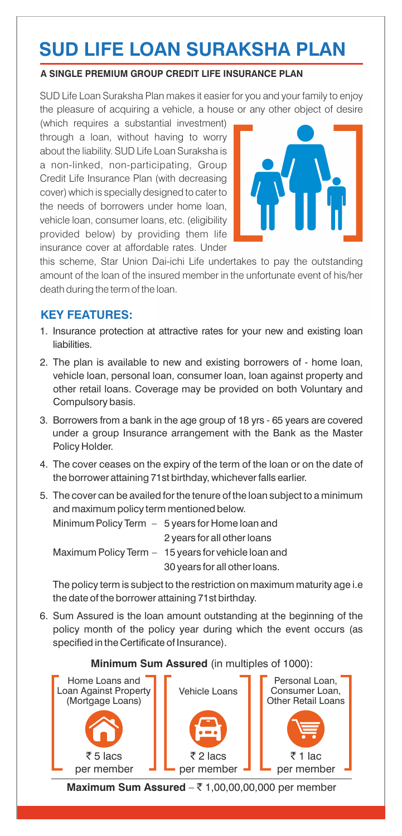# **SUD LIFE LOAN SURAKSHA PLAN**

#### **A SINGLE PREMIUM GROUP CREDIT LIFE INSURANCE PLAN**

SUD Life Loan Suraksha Plan makes it easier for you and your family to enjoy the pleasure of acquiring a vehicle, a house or any other object of desire

(which requires a substantial investment) through a loan, without having to worry about the liability. SUD Life Loan Suraksha is a non-linked, non-participating, Group Credit Life Insurance Plan (with decreasing cover) which is specially designed to cater to the needs of borrowers under home loan, vehicle loan, consumer loans, etc. (eligibility provided below) by providing them life insurance cover at affordable rates. Under



this scheme, Star Union Dai-ichi Life undertakes to pay the outstanding amount of the loan of the insured member in the unfortunate event of his/her death during the term of the loan.

## **KEY FEATURES:**

- 1. Insurance protection at attractive rates for your new and existing loan liabilities.
- 2. The plan is available to new and existing borrowers of home loan, vehicle loan, personal loan, consumer loan, loan against property and other retail loans. Coverage may be provided on both Voluntary and Compulsory basis.
- 3. Borrowers from a bank in the age group of 18 yrs 65 years are covered under a group Insurance arrangement with the Bank as the Master Policy Holder.
- 4. The cover ceases on the expiry of the term of the loan or on the date of the borrower attaining 71st birthday, whichever falls earlier.
- 5. The cover can be availed for the tenure of the loan subject to a minimum and maximum policy term mentioned below.

| Minimum Policy Term $-5$ years for Home loan and     |
|------------------------------------------------------|
| 2 years for all other loans                          |
| Maximum Policy Term $-15$ years for vehicle loan and |
| 30 years for all other loans.                        |

The policy term is subject to the restriction on maximum maturity age i.e the date of the borrower attaining 71st birthday.

6. Sum Assured is the loan amount outstanding at the beginning of the policy month of the policy year during which the event occurs (as specified in the Certificate of Insurance).

#### **Minimum Sum Assured** (in multiples of 1000):

![](_page_1_Picture_16.jpeg)

**Maximum Sum Assured**  $-\bar{\tau}$  1,00,00,00,000 per member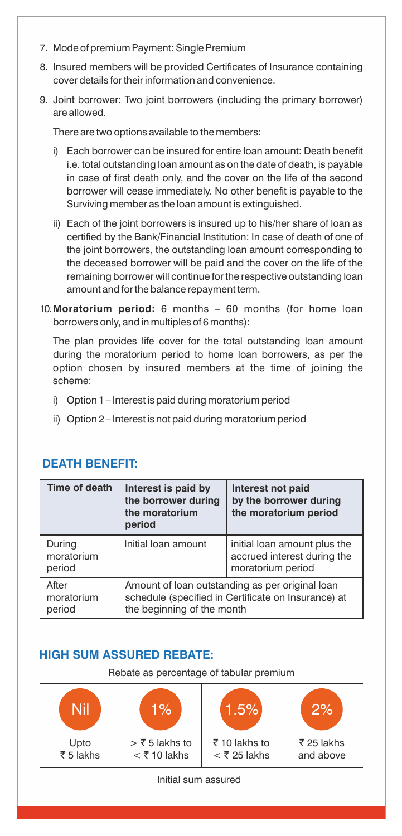- 7. Mode of premium Payment: Single Premium
- 8. Insured members will be provided Certificates of Insurance containing cover details for their information and convenience.
- 9. Joint borrower: Two joint borrowers (including the primary borrower) are allowed.

There are two options available to the members:

- i) Each borrower can be insured for entire loan amount: Death benefit i.e. total outstanding loan amount as on the date of death, is payable in case of first death only, and the cover on the life of the second borrower will cease immediately. No other benefit is payable to the Surviving member as the loan amount is extinguished.
- ii) Each of the joint borrowers is insured up to his/her share of loan as certified by the Bank/Financial Institution: In case of death of one of the joint borrowers, the outstanding loan amount corresponding to the deceased borrower will be paid and the cover on the life of the remaining borrower will continue for the respective outstanding loan amount and for the balance repayment term.
- 10.**Moratorium period:** 6 months 60 months (for home loan borrowers only, and in multiples of 6 months):

The plan provides life cover for the total outstanding loan amount during the moratorium period to home loan borrowers, as per the option chosen by insured members at the time of joining the scheme:

- i) Option 1 Interest is paid during moratorium period
- ii) Option 2 Interest is not paid during moratorium period

| Time of death                  | Interest is paid by<br>the borrower during<br>the moratorium<br>period                                                               | Interest not paid<br>by the borrower during<br>the moratorium period             |
|--------------------------------|--------------------------------------------------------------------------------------------------------------------------------------|----------------------------------------------------------------------------------|
| During<br>moratorium<br>period | Initial loan amount                                                                                                                  | initial loan amount plus the<br>accrued interest during the<br>moratorium period |
| After<br>moratorium<br>period  | Amount of loan outstanding as per original loan<br>schedule (specified in Certificate on Insurance) at<br>the beginning of the month |                                                                                  |

### **DEATH BENEFIT:**

# **HIGH SUM ASSURED REBATE:**

Rebate as percentage of tabular premium

![](_page_2_Figure_14.jpeg)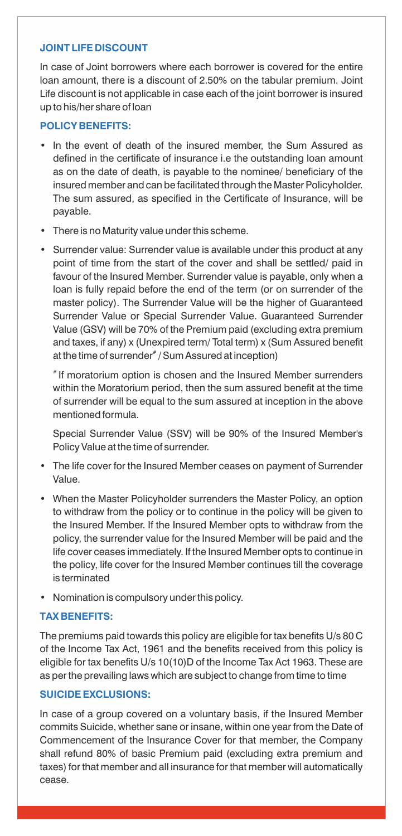#### **JOINT LIFE DISCOUNT**

In case of Joint borrowers where each borrower is covered for the entire loan amount, there is a discount of 2.50% on the tabular premium. Joint Life discount is not applicable in case each of the joint borrower is insured up to his/her share of loan

#### **POLICY BENEFITS:**

- In the event of death of the insured member, the Sum Assured as defined in the certificate of insurance i.e the outstanding loan amount as on the date of death, is payable to the nominee/ beneficiary of the insured member and can be facilitated through the Master Policyholder. The sum assured, as specified in the Certificate of Insurance, will be payable.
- There is no Maturity value under this scheme.
- Surrender value: Surrender value is available under this product at any point of time from the start of the cover and shall be settled/ paid in favour of the Insured Member. Surrender value is payable, only when a loan is fully repaid before the end of the term (or on surrender of the master policy). The Surrender Value will be the higher of Guaranteed Surrender Value or Special Surrender Value. Guaranteed Surrender Value (GSV) will be 70% of the Premium paid (excluding extra premium and taxes, if any) x (Unexpired term/ Total term) x (Sum Assured benefit at the time of surrender $^{\ast }$  / Sum Assured at inception)

# If moratorium option is chosen and the Insured Member surrenders within the Moratorium period, then the sum assured benefit at the time of surrender will be equal to the sum assured at inception in the above mentioned formula.

Special Surrender Value (SSV) will be 90% of the Insured Member's Policy Value at the time of surrender.

- The life cover for the Insured Member ceases on payment of Surrender Value.
- When the Master Policyholder surrenders the Master Policy, an option to withdraw from the policy or to continue in the policy will be given to the Insured Member. If the Insured Member opts to withdraw from the policy, the surrender value for the Insured Member will be paid and the life cover ceases immediately. If the Insured Member opts to continue in the policy, life cover for the Insured Member continues till the coverage is terminated
- Nomination is compulsory under this policy.

#### **TAX BENEFITS:**

The premiums paid towards this policy are eligible for tax benefits U/s 80 C of the Income Tax Act, 1961 and the benefits received from this policy is eligible for tax benefits U/s 10(10)D of the Income Tax Act 1963. These are as per the prevailing laws which are subject to change from time to time

#### **SUICIDE EXCLUSIONS:**

In case of a group covered on a voluntary basis, if the Insured Member commits Suicide, whether sane or insane, within one year from the Date of Commencement of the Insurance Cover for that member, the Company shall refund 80% of basic Premium paid (excluding extra premium and taxes) for that member and all insurance for that member will automatically cease.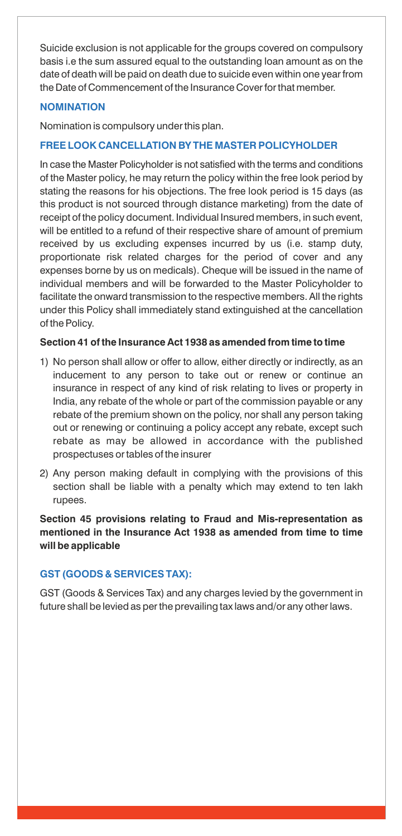Suicide exclusion is not applicable for the groups covered on compulsory basis i.e the sum assured equal to the outstanding loan amount as on the date of death will be paid on death due to suicide even within one year from the Date of Commencement of the Insurance Cover for that member.

#### **NOMINATION**

Nomination is compulsory under this plan.

#### **FREE LOOK CANCELLATION BY THE MASTER POLICYHOLDER**

In case the Master Policyholder is not satisfied with the terms and conditions of the Master policy, he may return the policy within the free look period by stating the reasons for his objections. The free look period is 15 days (as this product is not sourced through distance marketing) from the date of receipt of the policy document. Individual Insured members, in such event, will be entitled to a refund of their respective share of amount of premium received by us excluding expenses incurred by us (i.e. stamp duty, proportionate risk related charges for the period of cover and any expenses borne by us on medicals). Cheque will be issued in the name of individual members and will be forwarded to the Master Policyholder to facilitate the onward transmission to the respective members. All the rights under this Policy shall immediately stand extinguished at the cancellation of the Policy.

#### **Section 41 of the Insurance Act 1938 as amended from time to time**

- 1) No person shall allow or offer to allow, either directly or indirectly, as an inducement to any person to take out or renew or continue an insurance in respect of any kind of risk relating to lives or property in India, any rebate of the whole or part of the commission payable or any rebate of the premium shown on the policy, nor shall any person taking out or renewing or continuing a policy accept any rebate, except such rebate as may be allowed in accordance with the published prospectuses or tables of the insurer
- 2) Any person making default in complying with the provisions of this section shall be liable with a penalty which may extend to ten lakh rupees.

**Section 45 provisions relating to Fraud and Mis-representation as mentioned in the Insurance Act 1938 as amended from time to time will be applicable**

#### **GST (GOODS & SERVICES TAX):**

GST (Goods & Services Tax) and any charges levied by the government in future shall be levied as per the prevailing tax laws and/or any other laws.